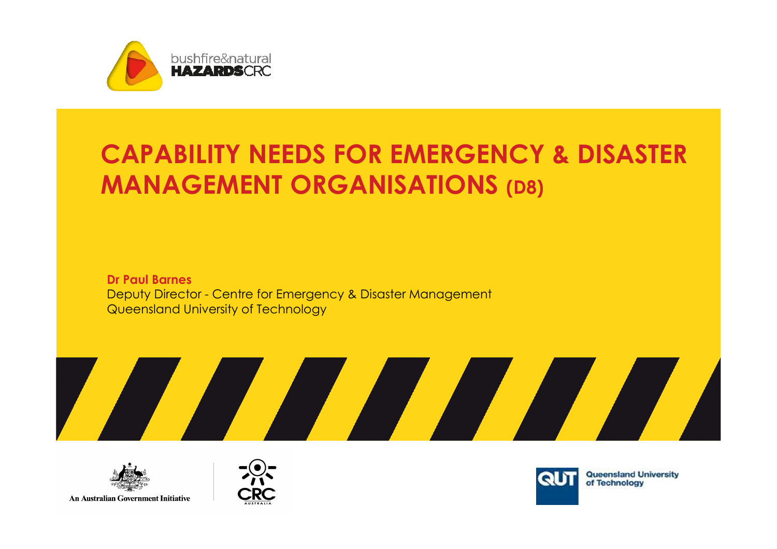

# CAPABILITY NEEDS FOR EMERGENCY & DISASTER MANAGEMENT ORGANISATIONS (D8)

Dr Paul Barnes Deputy Director - Centre for Emergency & Disaster Management Queensland University of Technology





**An Australian Government Initiative** 





Queensland University<br>of Technology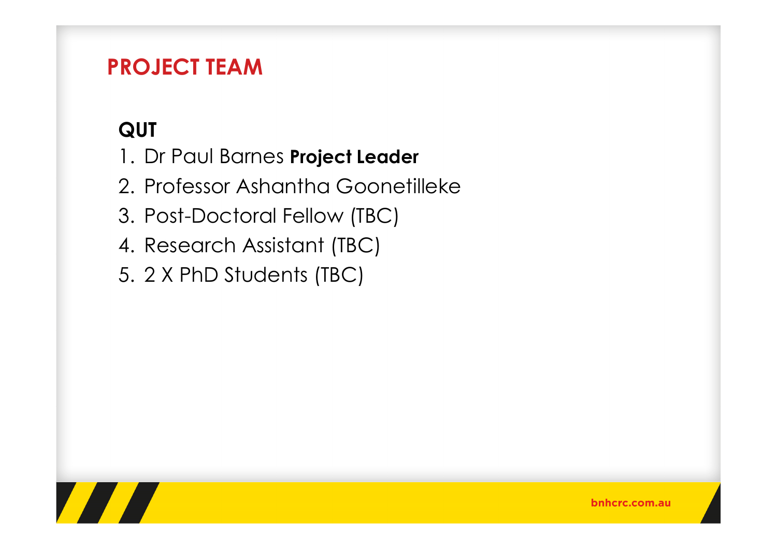### PROJECT TEAM

## **QUT**

- 1. Dr Paul Barnes Project Leader
- 2. Professor Ashantha Goonetilleke
- 3. Post-Doctoral Fellow (TBC)
- 4. Research Assistant (TBC)
- 5. 2 X PhD Students (TBC)

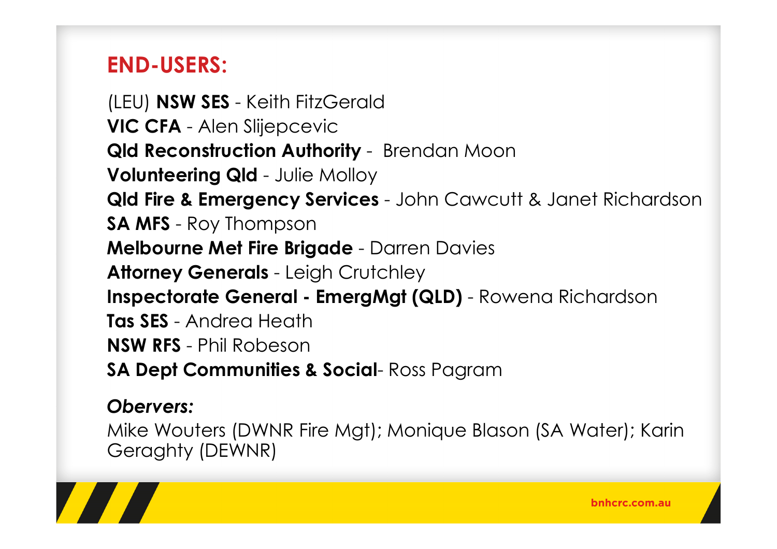### END-USERS:

(LEU) **NSW SES** - Keith FitzGerald<br>WR 251 VIC CFA - Alen Slijepcevic Qld Reconstruction Authority - Brendan Moon Volunteering Qld - Julie Molloy Qld Fire & Emergency Services - John Cawcutt & Janet Richardson SA MFS - Roy Thompson **Melbourne Met Fire Brigade -** Darren Davies<br>All Attorney Generals - Leigh Crutchley Inspectorate General - EmergMgt (QLD) - Rowena Richardson Tas SES - Andrea Heath NSW RFS - Phil Robeson SA Dept Communities & Social- Ross Pagram

### Obervers:

Mike Wouters (DWNR Fire Mgt); Monique Blason (SA Water); Karin Geraghty (DEWNR)

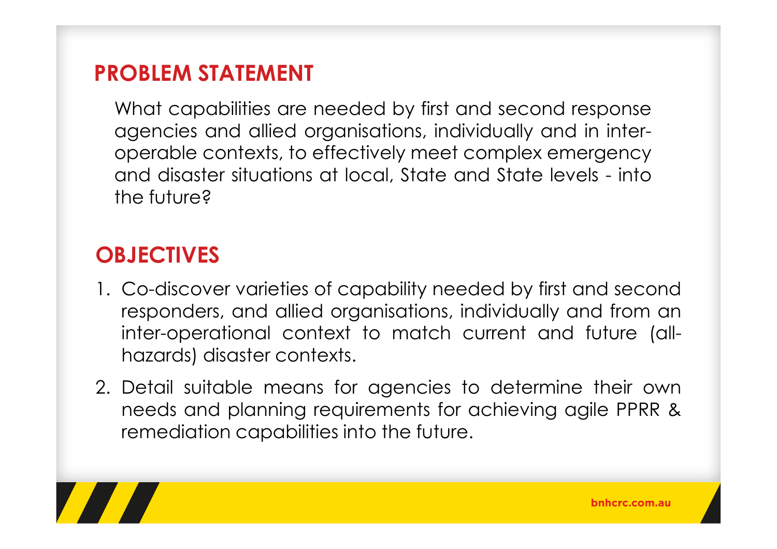### PROBLEM STATEMENT

What capabilities are needed by first and second response agencies and allied organisations, individually and in interoperable contexts, to effectively meet complex emergency and disaster situations at local, State and State levels - into the future?

### **OBJECTIVES**

- 1. Co-discover varieties of capability needed by first and second responders, and allied organisations, individually and from an inter-operational context to match current and future (all- hazards) disaster contexts.
- 2. Detail suitable means for agencies to determine their own needs and planning requirements for achieving agile PPRR &remediation capabilities into the future.

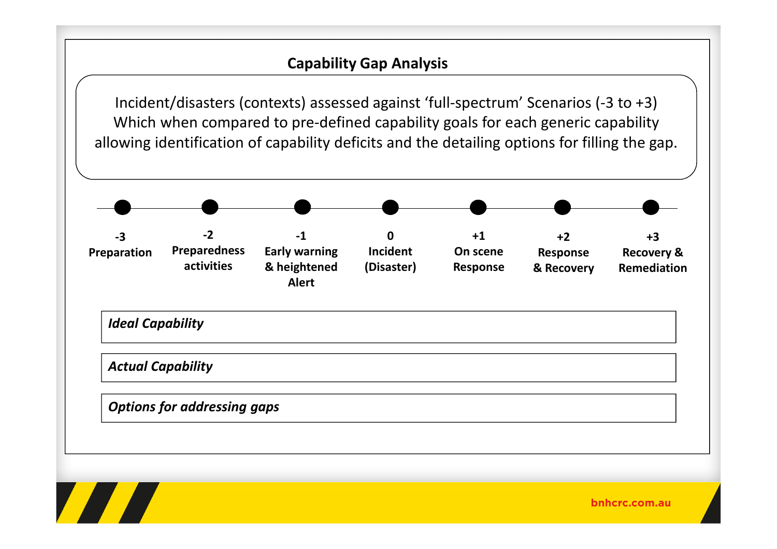#### Capability Gap Analysis

Incident/disasters (contexts) assessed against 'full-spectrum' Scenarios (-3 to +3)Which when compared to pre-defined capability goals for each generic capability allowing identification of capability deficits and the detailing options for filling the gap.